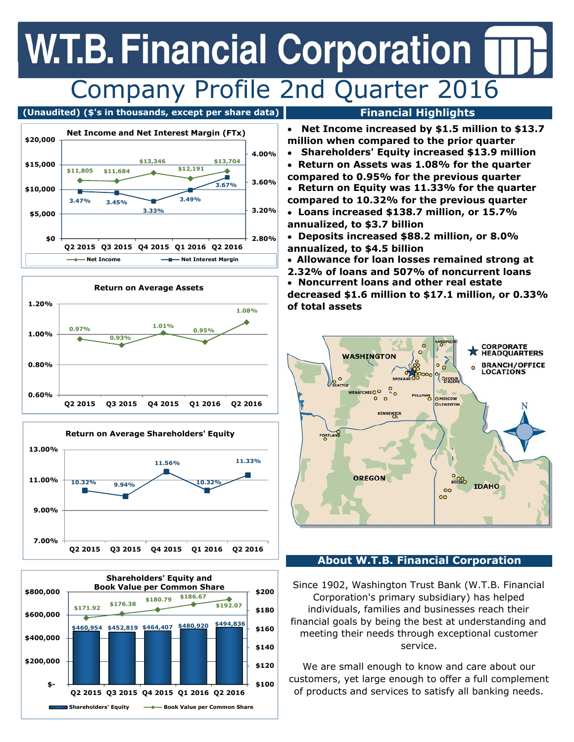## **W.T.B. Financial Corporation** Company Profile 2nd Quarter 2016

### (Unaudited) (\$'s in thousands, except per share data) **Financial Highlights**









- **Net Income increased by \$1.5 million to \$13.7 million when compared to the prior quarter**
- **Shareholders' Equity increased \$13.9 million**
- **Return on Assets was 1.08% for the quarter compared to 0.95% for the previous quarter**
- **Return on Equity was 11.33% for the quarter compared to 10.32% for the previous quarter**
- **Loans increased \$138.7 million, or 15.7% annualized, to \$3.7 billion**
- **Deposits increased \$88.2 million, or 8.0% annualized, to \$4.5 billion**
- **Allowance for loan losses remained strong at**
- **2.32% of loans and 507% of noncurrent loans**
- **Noncurrent loans and other real estate decreased \$1.6 million to \$17.1 million, or 0.33% of total assets**



### **About W.T.B. Financial Corporation**

Since 1902, Washington Trust Bank (W.T.B. Financial Corporation's primary subsidiary) has helped individuals, families and businesses reach their financial goals by being the best at understanding and meeting their needs through exceptional customer service.

We are small enough to know and care about our customers, yet large enough to offer a full complement of products and services to satisfy all banking needs.